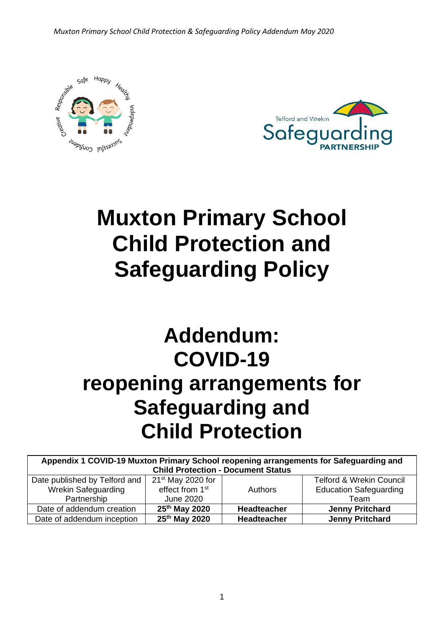*Muxton Primary School Child Protection & Safeguarding Policy Addendum May 2020*





# **Muxton Primary School Child Protection and Safeguarding Policy**

# **Addendum: COVID-19 reopening arrangements for Safeguarding and Child Protection**

| Appendix 1 COVID-19 Muxton Primary School reopening arrangements for Safeguarding and |                             |                    |                                     |  |  |  |
|---------------------------------------------------------------------------------------|-----------------------------|--------------------|-------------------------------------|--|--|--|
| <b>Child Protection - Document Status</b>                                             |                             |                    |                                     |  |  |  |
| Date published by Telford and                                                         | $21st$ May 2020 for         |                    | <b>Telford &amp; Wrekin Council</b> |  |  |  |
| <b>Wrekin Safeguarding</b>                                                            | effect from 1 <sup>st</sup> | <b>Authors</b>     | <b>Education Safeguarding</b>       |  |  |  |
| Partnership                                                                           | June 2020                   |                    | Team                                |  |  |  |
| Date of addendum creation                                                             | 25 <sup>th</sup> May 2020   | <b>Headteacher</b> | <b>Jenny Pritchard</b>              |  |  |  |
| Date of addendum inception                                                            | $25th$ May 2020             | Headteacher        | <b>Jenny Pritchard</b>              |  |  |  |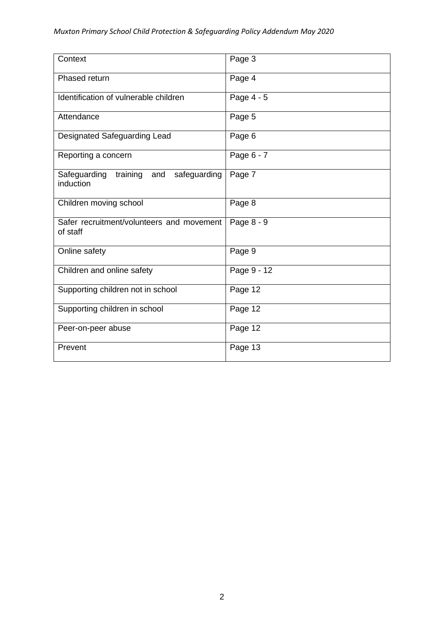| Context                                                   | Page 3        |
|-----------------------------------------------------------|---------------|
| Phased return                                             | Page 4        |
| Identification of vulnerable children                     | Page 4 - 5    |
| Attendance                                                | Page 5        |
| Designated Safeguarding Lead                              | Page 6        |
| Reporting a concern                                       | Page 6 - 7    |
| Safeguarding<br>safeguarding<br>training and<br>induction | Page 7        |
| Children moving school                                    | Page 8        |
| Safer recruitment/volunteers and movement<br>of staff     | Page 8 - 9    |
| Online safety                                             | Page 9        |
| Children and online safety                                | Page $9 - 12$ |
| Supporting children not in school                         | Page 12       |
| Supporting children in school                             | Page 12       |
| Peer-on-peer abuse                                        | Page 12       |
| Prevent                                                   | Page 13       |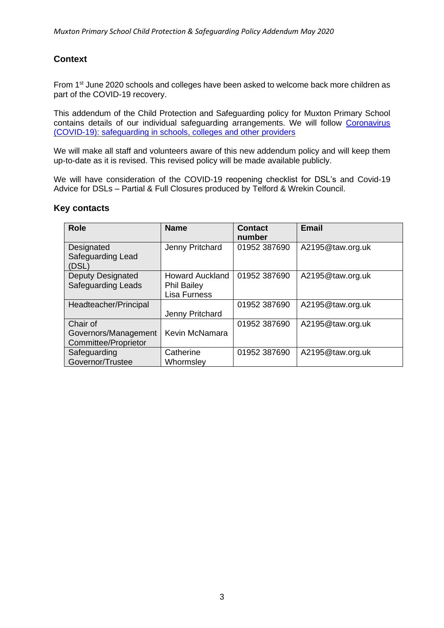# **Context**

From 1<sup>st</sup> June 2020 schools and colleges have been asked to welcome back more children as part of the COVID-19 recovery.

This addendum of the Child Protection and Safeguarding policy for Muxton Primary School contains details of our individual safeguarding arrangements. We will follow Coronavirus [\(COVID-19\): safeguarding in schools, colleges and other providers](https://www.gov.uk/government/publications/covid-19-safeguarding-in-schools-colleges-and-other-providers/coronavirus-covid-19-safeguarding-in-schools-colleges-and-other-providers#staff-training-and-safeguarding-induction) 

We will make all staff and volunteers aware of this new addendum policy and will keep them up-to-date as it is revised. This revised policy will be made available publicly.

We will have consideration of the COVID-19 reopening checklist for DSL's and Covid-19 Advice for DSLs – Partial & Full Closures produced by Telford & Wrekin Council.

| ν συπιασισ                                                      |                                                                     |                   |                  |
|-----------------------------------------------------------------|---------------------------------------------------------------------|-------------------|------------------|
| <b>Role</b>                                                     | <b>Name</b>                                                         | Contact<br>number | <b>Email</b>     |
| Designated<br>Safeguarding Lead<br>(DSL)                        | Jenny Pritchard                                                     | 01952 387690      | A2195@taw.org.uk |
| <b>Deputy Designated</b><br><b>Safeguarding Leads</b>           | <b>Howard Auckland</b><br><b>Phil Bailey</b><br><b>Lisa Furness</b> | 01952 387690      | A2195@taw.org.uk |
| Headteacher/Principal                                           | Jenny Pritchard                                                     | 01952 387690      | A2195@taw.org.uk |
| Chair of<br>Governors/Management<br><b>Committee/Proprietor</b> | Kevin McNamara                                                      | 01952 387690      | A2195@taw.org.uk |
| Safeguarding<br>Governor/Trustee                                | Catherine<br>Whormsley                                              | 01952 387690      | A2195@taw.org.uk |
|                                                                 |                                                                     |                   |                  |

#### **Key contacts**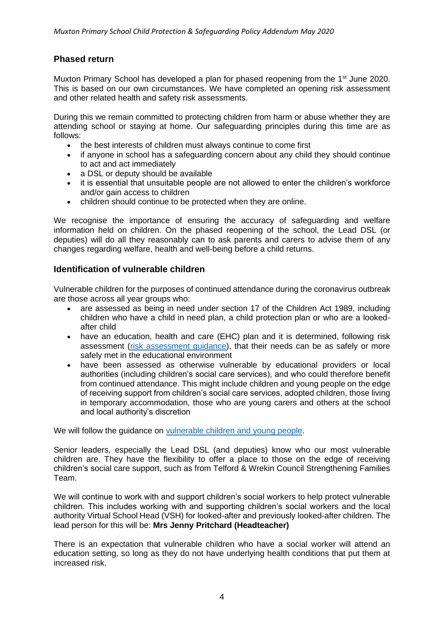# **Phased return**

Muxton Primary School has developed a plan for phased reopening from the 1<sup>st</sup> June 2020. This is based on our own circumstances. We have completed an opening risk assessment and other related health and safety risk assessments.

During this we remain committed to protecting children from harm or abuse whether they are attending school or staying at home. Our safeguarding principles during this time are as follows:

- the best interests of children must always continue to come first
- if anyone in school has a safeguarding concern about any child they should continue to act and act immediately
- a DSL or deputy should be available
- it is essential that unsuitable people are not allowed to enter the children's workforce and/or gain access to children
- children should continue to be protected when they are online.

We recognise the importance of ensuring the accuracy of safeguarding and welfare information held on children. On the phased reopening of the school, the Lead DSL (or deputies) will do all they reasonably can to ask parents and carers to advise them of any changes regarding welfare, health and well-being before a child returns.

#### **Identification of vulnerable children**

Vulnerable children for the purposes of continued attendance during the coronavirus outbreak are those across all year groups who:

- are assessed as being in need under section 17 of the Children Act 1989, including children who have a child in need plan, a child protection plan or who are a lookedafter child
- have an education, health and care (EHC) plan and it is determined, following risk assessment [\(risk assessment guidance\)](https://www.gov.uk/government/publications/coronavirus-covid-19-send-risk-assessment-guidance/coronavirus-covid-19-send-risk-assessment-guidance), that their needs can be as safely or more safely met in the educational environment
- have been assessed as otherwise vulnerable by educational providers or local authorities (including children's social care services), and who could therefore benefit from continued attendance. This might include children and young people on the edge of receiving support from children's social care services, adopted children, those living in temporary accommodation, those who are young carers and others at the school and local authority's discretion

We will follow the guidance on [vulnerable children and young people.](https://www.gov.uk/government/publications/coronavirus-covid-19-guidance-on-vulnerable-children-and-young-people)

Senior leaders, especially the Lead DSL (and deputies) know who our most vulnerable children are. They have the flexibility to offer a place to those on the edge of receiving children's social care support, such as from Telford & Wrekin Council Strengthening Families Team.

We will continue to work with and support children's social workers to help protect vulnerable children. This includes working with and supporting children's social workers and the local authority Virtual School Head (VSH) for looked-after and previously looked-after children. The lead person for this will be: **Mrs Jenny Pritchard (Headteacher)**

There is an expectation that vulnerable children who have a social worker will attend an education setting, so long as they do not have underlying health conditions that put them at increased risk.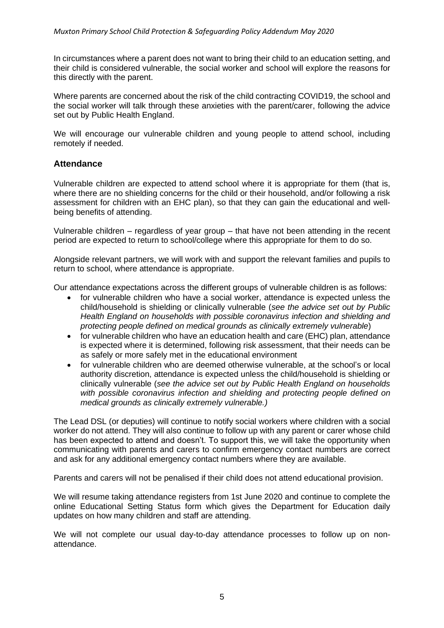In circumstances where a parent does not want to bring their child to an education setting, and their child is considered vulnerable, the social worker and school will explore the reasons for this directly with the parent.

Where parents are concerned about the risk of the child contracting COVID19, the school and the social worker will talk through these anxieties with the parent/carer, following the advice set out by Public Health England.

We will encourage our vulnerable children and young people to attend school, including remotely if needed.

#### **Attendance**

Vulnerable children are expected to attend school where it is appropriate for them (that is, where there are no shielding concerns for the child or their household, and/or following a risk assessment for children with an EHC plan), so that they can gain the educational and wellbeing benefits of attending.

Vulnerable children – regardless of year group – that have not been attending in the recent period are expected to return to school/college where this appropriate for them to do so.

Alongside relevant partners, we will work with and support the relevant families and pupils to return to school, where attendance is appropriate.

Our attendance expectations across the different groups of vulnerable children is as follows:

- for vulnerable children who have a social worker, attendance is expected unless the child/household is shielding or clinically vulnerable (*see the advice set out by Public Health England on households with possible coronavirus infection and shielding and protecting people defined on medical grounds as clinically extremely vulnerable*)
- for vulnerable children who have an education health and care (EHC) plan, attendance is expected where it is determined, following risk assessment, that their needs can be as safely or more safely met in the educational environment
- for vulnerable children who are deemed otherwise vulnerable, at the school's or local authority discretion, attendance is expected unless the child/household is shielding or clinically vulnerable (*see the advice set out by Public Health England on households with possible coronavirus infection and shielding and protecting people defined on medical grounds as clinically extremely vulnerable.)*

The Lead DSL (or deputies) will continue to notify social workers where children with a social worker do not attend. They will also continue to follow up with any parent or carer whose child has been expected to attend and doesn't. To support this, we will take the opportunity when communicating with parents and carers to confirm emergency contact numbers are correct and ask for any additional emergency contact numbers where they are available.

Parents and carers will not be penalised if their child does not attend educational provision.

We will resume taking attendance registers from 1st June 2020 and continue to complete the online Educational Setting Status form which gives the Department for Education daily updates on how many children and staff are attending.

We will not complete our usual day-to-day attendance processes to follow up on nonattendance.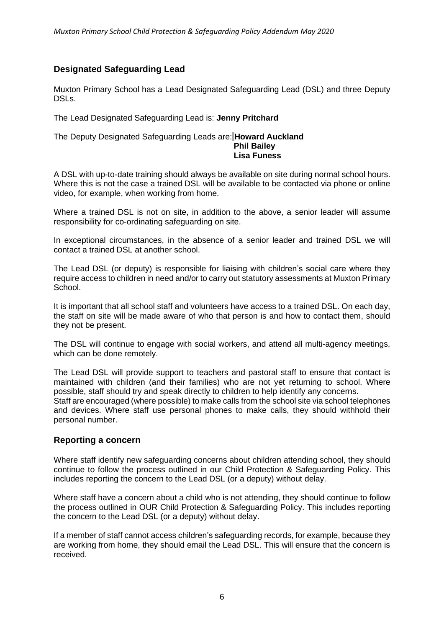## **Designated Safeguarding Lead**

Muxton Primary School has a Lead Designated Safeguarding Lead (DSL) and three Deputy DSLs.

The Lead Designated Safeguarding Lead is: **Jenny Pritchard**

#### The Deputy Designated Safeguarding Leads are: **Howard Auckland Phil Bailey Lisa Funess**

A DSL with up-to-date training should always be available on site during normal school hours. Where this is not the case a trained DSL will be available to be contacted via phone or online video, for example, when working from home.

Where a trained DSL is not on site, in addition to the above, a senior leader will assume responsibility for co-ordinating safeguarding on site.

In exceptional circumstances, in the absence of a senior leader and trained DSL we will contact a trained DSL at another school.

The Lead DSL (or deputy) is responsible for liaising with children's social care where they require access to children in need and/or to carry out statutory assessments at Muxton Primary School.

It is important that all school staff and volunteers have access to a trained DSL. On each day, the staff on site will be made aware of who that person is and how to contact them, should they not be present.

The DSL will continue to engage with social workers, and attend all multi-agency meetings, which can be done remotely.

The Lead DSL will provide support to teachers and pastoral staff to ensure that contact is maintained with children (and their families) who are not yet returning to school. Where possible, staff should try and speak directly to children to help identify any concerns.

Staff are encouraged (where possible) to make calls from the school site via school telephones and devices. Where staff use personal phones to make calls, they should withhold their personal number.

#### **Reporting a concern**

Where staff identify new safeguarding concerns about children attending school, they should continue to follow the process outlined in our Child Protection & Safeguarding Policy. This includes reporting the concern to the Lead DSL (or a deputy) without delay.

Where staff have a concern about a child who is not attending, they should continue to follow the process outlined in OUR Child Protection & Safeguarding Policy. This includes reporting the concern to the Lead DSL (or a deputy) without delay.

If a member of staff cannot access children's safeguarding records, for example, because they are working from home, they should email the Lead DSL. This will ensure that the concern is received.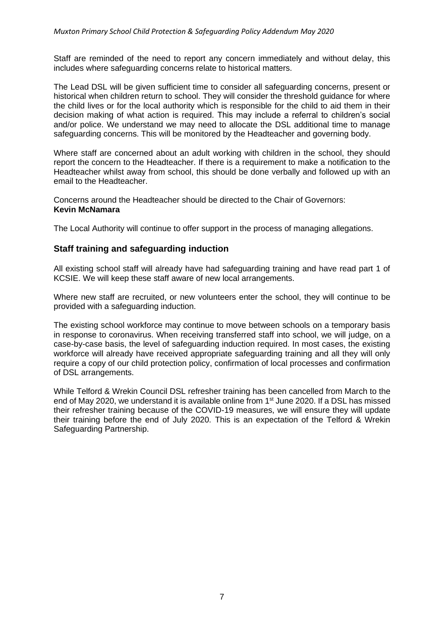Staff are reminded of the need to report any concern immediately and without delay, this includes where safeguarding concerns relate to historical matters.

The Lead DSL will be given sufficient time to consider all safeguarding concerns, present or historical when children return to school. They will consider the threshold guidance for where the child lives or for the local authority which is responsible for the child to aid them in their decision making of what action is required. This may include a referral to children's social and/or police. We understand we may need to allocate the DSL additional time to manage safeguarding concerns. This will be monitored by the Headteacher and governing body.

Where staff are concerned about an adult working with children in the school, they should report the concern to the Headteacher. If there is a requirement to make a notification to the Headteacher whilst away from school, this should be done verbally and followed up with an email to the Headteacher.

Concerns around the Headteacher should be directed to the Chair of Governors: **Kevin McNamara**

The Local Authority will continue to offer support in the process of managing allegations.

#### **Staff training and safeguarding induction**

All existing school staff will already have had safeguarding training and have read part 1 of KCSIE. We will keep these staff aware of new local arrangements.

Where new staff are recruited, or new volunteers enter the school, they will continue to be provided with a safeguarding induction.

The existing school workforce may continue to move between schools on a temporary basis in response to coronavirus. When receiving transferred staff into school, we will judge, on a case-by-case basis, the level of safeguarding induction required. In most cases, the existing workforce will already have received appropriate safeguarding training and all they will only require a copy of our child protection policy, confirmation of local processes and confirmation of DSL arrangements.

While Telford & Wrekin Council DSL refresher training has been cancelled from March to the end of May 2020, we understand it is available online from 1<sup>st</sup> June 2020. If a DSL has missed their refresher training because of the COVID-19 measures, we will ensure they will update their training before the end of July 2020. This is an expectation of the Telford & Wrekin Safeguarding Partnership.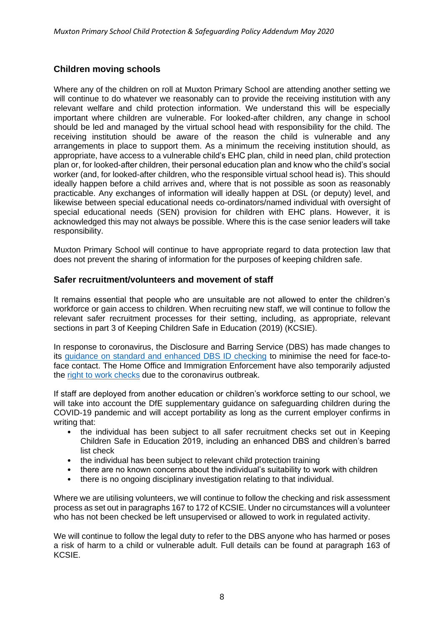# **Children moving schools**

Where any of the children on roll at Muxton Primary School are attending another setting we will continue to do whatever we reasonably can to provide the receiving institution with any relevant welfare and child protection information. We understand this will be especially important where children are vulnerable. For looked-after children, any change in school should be led and managed by the virtual school head with responsibility for the child. The receiving institution should be aware of the reason the child is vulnerable and any arrangements in place to support them. As a minimum the receiving institution should, as appropriate, have access to a vulnerable child's EHC plan, child in need plan, child protection plan or, for looked-after children, their personal education plan and know who the child's social worker (and, for looked-after children, who the responsible virtual school head is). This should ideally happen before a child arrives and, where that is not possible as soon as reasonably practicable. Any exchanges of information will ideally happen at DSL (or deputy) level, and likewise between special educational needs co-ordinators/named individual with oversight of special educational needs (SEN) provision for children with EHC plans. However, it is acknowledged this may not always be possible. Where this is the case senior leaders will take responsibility.

Muxton Primary School will continue to have appropriate regard to data protection law that does not prevent the sharing of information for the purposes of keeping children safe.

#### **Safer recruitment/volunteers and movement of staff**

It remains essential that people who are unsuitable are not allowed to enter the children's workforce or gain access to children. When recruiting new staff, we will continue to follow the relevant safer recruitment processes for their setting, including, as appropriate, relevant sections in part 3 of Keeping Children Safe in Education (2019) (KCSIE).

In response to coronavirus, the Disclosure and Barring Service (DBS) has made changes to its [guidance on standard and enhanced DBS ID checking](https://www.gov.uk/government/news/covid-19-changes-to-dbs-id-checking-guidelines) to minimise the need for face-toface contact. The Home Office and Immigration Enforcement have also temporarily adjusted the [right to work checks](https://www.gov.uk/guidance/coronavirus-covid-19-right-to-work-checks) due to the coronavirus outbreak.

If staff are deployed from another education or children's workforce setting to our school, we will take into account the DfE supplementary guidance on safeguarding children during the COVID-19 pandemic and will accept portability as long as the current employer confirms in writing that:

- the individual has been subiect to all safer recruitment checks set out in Keeping Children Safe in Education 2019, including an enhanced DBS and children's barred list check
- the individual has been subject to relevant child protection training
- there are no known concerns about the individual's suitability to work with children
- there is no ongoing disciplinary investigation relating to that individual.

Where we are utilising volunteers, we will continue to follow the checking and risk assessment process as set out in paragraphs 167 to 172 of KCSIE. Under no circumstances will a volunteer who has not been checked be left unsupervised or allowed to work in regulated activity.

We will continue to follow the legal duty to refer to the DBS anyone who has harmed or poses a risk of harm to a child or vulnerable adult. Full details can be found at paragraph 163 of KCSIE.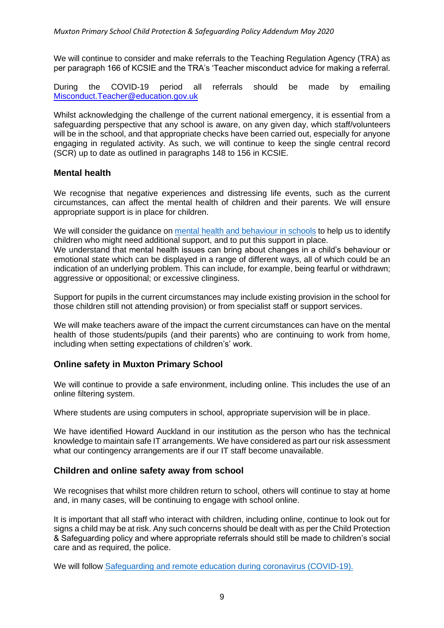We will continue to consider and make referrals to the Teaching Regulation Agency (TRA) as per paragraph 166 of KCSIE and the TRA's 'Teacher misconduct advice for making a referral.

During the COVID-19 period all referrals should be made by emailing [Misconduct.Teacher@education.gov.uk](mailto:Misconduct.Teacher@education.gov.uk)

Whilst acknowledging the challenge of the current national emergency, it is essential from a safeguarding perspective that any school is aware, on any given day, which staff/volunteers will be in the school, and that appropriate checks have been carried out, especially for anyone engaging in regulated activity. As such, we will continue to keep the single central record (SCR) up to date as outlined in paragraphs 148 to 156 in KCSIE.

#### **Mental health**

We recognise that negative experiences and distressing life events, such as the current circumstances, can affect the mental health of children and their parents. We will ensure appropriate support is in place for children.

We will consider the guidance on [mental health and behaviour in schools](https://www.gov.uk/government/publications/mental-health-and-behaviour-in-schools--2) to help us to identify children who might need additional support, and to put this support in place. We understand that mental health issues can bring about changes in a child's behaviour or emotional state which can be displayed in a range of different ways, all of which could be an indication of an underlying problem. This can include, for example, being fearful or withdrawn; aggressive or oppositional; or excessive clinginess.

Support for pupils in the current circumstances may include existing provision in the school for those children still not attending provision) or from specialist staff or support services.

We will make teachers aware of the impact the current circumstances can have on the mental health of those students/pupils (and their parents) who are continuing to work from home, including when setting expectations of children's' work.

#### **Online safety in Muxton Primary School**

We will continue to provide a safe environment, including online. This includes the use of an online filtering system.

Where students are using computers in school, appropriate supervision will be in place.

We have identified Howard Auckland in our institution as the person who has the technical knowledge to maintain safe IT arrangements. We have considered as part our risk assessment what our contingency arrangements are if our IT staff become unavailable.

#### **Children and online safety away from school**

We recognises that whilst more children return to school, others will continue to stay at home and, in many cases, will be continuing to engage with school online.

It is important that all staff who interact with children, including online, continue to look out for signs a child may be at risk. Any such concerns should be dealt with as per the Child Protection & Safeguarding policy and where appropriate referrals should still be made to children's social care and as required, the police.

We will follow [Safeguarding and remote education during coronavirus \(COVID-19\).](https://www.gov.uk/guidance/safeguarding-and-remote-education-during-coronavirus-covid-19?utm_source=265388db-edd9-4eda-91f4-c0da01b813f2&utm_medium=email&utm_campaign=govuk-notifications&utm_content=immediate)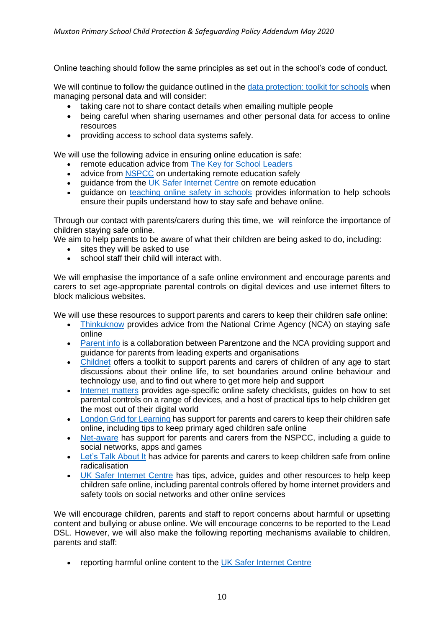Online teaching should follow the same principles as set out in the school's code of conduct.

We will continue to follow the guidance outlined in the [data protection: toolkit for schools](https://www.gov.uk/government/publications/data-protection-toolkit-for-schools) when managing personal data and will consider:

- taking care not to share contact details when emailing multiple people
- being careful when sharing usernames and other personal data for access to online resources
- providing access to school data systems safely.

We will use the following advice in ensuring online education is safe:

- remote education advice from [The Key for School Leaders](https://schoolleaders.thekeysupport.com/covid-19/safeguard-and-support-pupils/safeguarding-while-teaching/remote-teaching-safeguarding-pupils-and-staff/?marker=content-body)
- advice from [NSPCC](https://learning.nspcc.org.uk/news/2020/march/undertaking-remote-teaching-safely) on undertaking remote education safely
- guidance from the [UK Safer Internet Centre](https://swgfl.org.uk/resources/safe-remote-learning/) on remote education
- quidance on teaching [online safety in schools](https://www.gov.uk/government/publications/teaching-online-safety-in-schools) provides information to help schools ensure their pupils understand how to stay safe and behave online.

Through our contact with parents/carers during this time, we will reinforce the importance of children staying safe online.

We aim to help parents to be aware of what their children are being asked to do, including:

- sites they will be asked to use
- school staff their child will interact with.

We will emphasise the importance of a safe online environment and encourage parents and carers to set age-appropriate parental controls on digital devices and use internet filters to block malicious websites.

We will use these resources to support parents and carers to keep their children safe online:

- [Thinkuknow](https://www.thinkuknow.co.uk/) provides advice from the National Crime Agency (NCA) on staying safe online
- [Parent info](https://parentinfo.org/) is a collaboration between Parentzone and the NCA providing support and guidance for parents from leading experts and organisations
- [Childnet](https://www.childnet.com/parents-and-carers/parent-and-carer-toolkit) offers a toolkit to support parents and carers of children of any age to start discussions about their online life, to set boundaries around online behaviour and technology use, and to find out where to get more help and support
- [Internet matters](https://www.internetmatters.org/?gclid=EAIaIQobChMIktuA5LWK2wIVRYXVCh2afg2aEAAYASAAEgIJ5vD_BwE) provides age-specific online safety checklists, guides on how to set parental controls on a range of devices, and a host of practical tips to help children get the most out of their digital world
- [London Grid for Learning](https://www.lgfl.net/online-safety/) has support for parents and carers to keep their children safe online, including tips to keep primary aged children safe online
- [Net-aware](https://www.net-aware.org.uk/) has support for parents and carers from the NSPCC, including a quide to social networks, apps and games
- [Let's Talk About It](https://www.ltai.info/staying-safe-online/) has advice for parents and carers to keep children safe from online radicalisation
- [UK Safer Internet Centre](https://www.saferinternet.org.uk/advice-centre/parents-and-carers) has tips, advice, guides and other resources to help keep children safe online, including parental controls offered by home internet providers and safety tools on social networks and other online services

We will encourage children, parents and staff to report concerns about harmful or upsetting content and bullying or abuse online. We will encourage concerns to be reported to the Lead DSL. However, we will also make the following reporting mechanisms available to children, parents and staff:

• reporting harmful online content to the [UK Safer Internet Centre](https://reportharmfulcontent.com/)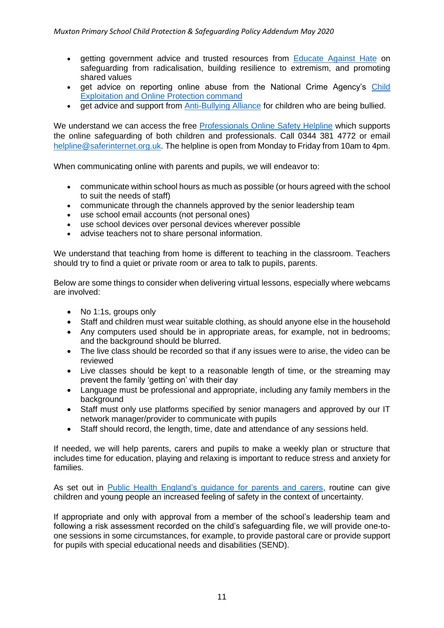- getting government advice and trusted resources from [Educate Against Hate](https://educateagainsthate.com/) on safeguarding from radicalisation, building resilience to extremism, and promoting shared values
- get advice on reporting online abuse from the National Crime Agency's [Child](https://www.ceop.police.uk/safety-centre/)  [Exploitation and Online Protection command](https://www.ceop.police.uk/safety-centre/)
- get advice and support from [Anti-Bullying Alliance](https://www.anti-bullyingalliance.org.uk/tools-information/if-youre-being-bullied) for children who are being bullied.

We understand we can access the free [Professionals Online Safety Helpline](https://swgfl.org.uk/services/professionals-online-safety-helpline/#contact) which supports the online safeguarding of both children and professionals. Call 0344 381 4772 or email [helpline@saferinternet.org.uk.](mailto:helpline@saferinternet.org.uk) The helpline is open from Monday to Friday from 10am to 4pm.

When communicating online with parents and pupils, we will endeavor to:

- communicate within school hours as much as possible (or hours agreed with the school to suit the needs of staff)
- communicate through the channels approved by the senior leadership team
- use school email accounts (not personal ones)
- use school devices over personal devices wherever possible
- advise teachers not to share personal information.

We understand that teaching from home is different to teaching in the classroom. Teachers should try to find a quiet or private room or area to talk to pupils, parents.

Below are some things to consider when delivering virtual lessons, especially where webcams are involved:

- No 1:1s, groups only
- Staff and children must wear suitable clothing, as should anyone else in the household
- Any computers used should be in appropriate areas, for example, not in bedrooms; and the background should be blurred.
- The live class should be recorded so that if any issues were to arise, the video can be reviewed
- Live classes should be kept to a reasonable length of time, or the streaming may prevent the family 'getting on' with their day
- Language must be professional and appropriate, including any family members in the background
- Staff must only use platforms specified by senior managers and approved by our IT network manager/provider to communicate with pupils
- Staff should record, the length, time, date and attendance of any sessions held.

If needed, we will help parents, carers and pupils to make a weekly plan or structure that includes time for education, playing and relaxing is important to reduce stress and anxiety for families.

As set out in [Public Health England's guidance for parents and carers,](https://www.gov.uk/government/publications/covid-19-guidance-on-supporting-children-and-young-peoples-mental-health-and-wellbeing/guidance-for-parents-and-carers-on-supporting-children-and-young-peoples-mental-health-and-wellbeing-during-the-coronavirus-covid-19-outbreak#helping-children-and-young-people-cope-with-stress) routine can give children and young people an increased feeling of safety in the context of uncertainty.

If appropriate and only with approval from a member of the school's leadership team and following a risk assessment recorded on the child's safeguarding file, we will provide one-toone sessions in some circumstances, for example, to provide pastoral care or provide support for pupils with special educational needs and disabilities (SEND).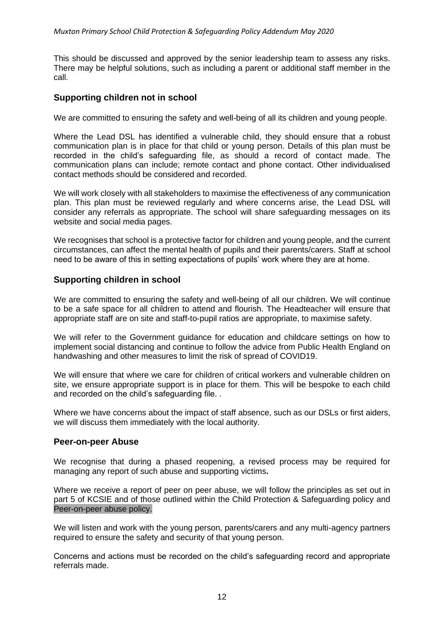This should be discussed and approved by the senior leadership team to assess any risks. There may be helpful solutions, such as including a parent or additional staff member in the call.

#### **Supporting children not in school**

We are committed to ensuring the safety and well-being of all its children and young people.

Where the Lead DSL has identified a vulnerable child, they should ensure that a robust communication plan is in place for that child or young person. Details of this plan must be recorded in the child's safeguarding file, as should a record of contact made. The communication plans can include; remote contact and phone contact. Other individualised contact methods should be considered and recorded.

We will work closely with all stakeholders to maximise the effectiveness of any communication plan. This plan must be reviewed regularly and where concerns arise, the Lead DSL will consider any referrals as appropriate. The school will share safeguarding messages on its website and social media pages.

We recognises that school is a protective factor for children and young people, and the current circumstances, can affect the mental health of pupils and their parents/carers. Staff at school need to be aware of this in setting expectations of pupils' work where they are at home.

#### **Supporting children in school**

We are committed to ensuring the safety and well-being of all our children. We will continue to be a safe space for all children to attend and flourish. The Headteacher will ensure that appropriate staff are on site and staff-to-pupil ratios are appropriate, to maximise safety.

We will refer to the Government guidance for education and childcare settings on how to implement social distancing and continue to follow the advice from Public Health England on handwashing and other measures to limit the risk of spread of COVID19.

We will ensure that where we care for children of critical workers and vulnerable children on site, we ensure appropriate support is in place for them. This will be bespoke to each child and recorded on the child's safeguarding file. .

Where we have concerns about the impact of staff absence, such as our DSLs or first aiders, we will discuss them immediately with the local authority.

#### **Peer-on-peer Abuse**

We recognise that during a phased reopening, a revised process may be required for managing any report of such abuse and supporting victims**.** 

Where we receive a report of peer on peer abuse, we will follow the principles as set out in part 5 of KCSIE and of those outlined within the Child Protection & Safeguarding policy and Peer-on-peer abuse policy.

We will listen and work with the young person, parents/carers and any multi-agency partners required to ensure the safety and security of that young person.

Concerns and actions must be recorded on the child's safeguarding record and appropriate referrals made.